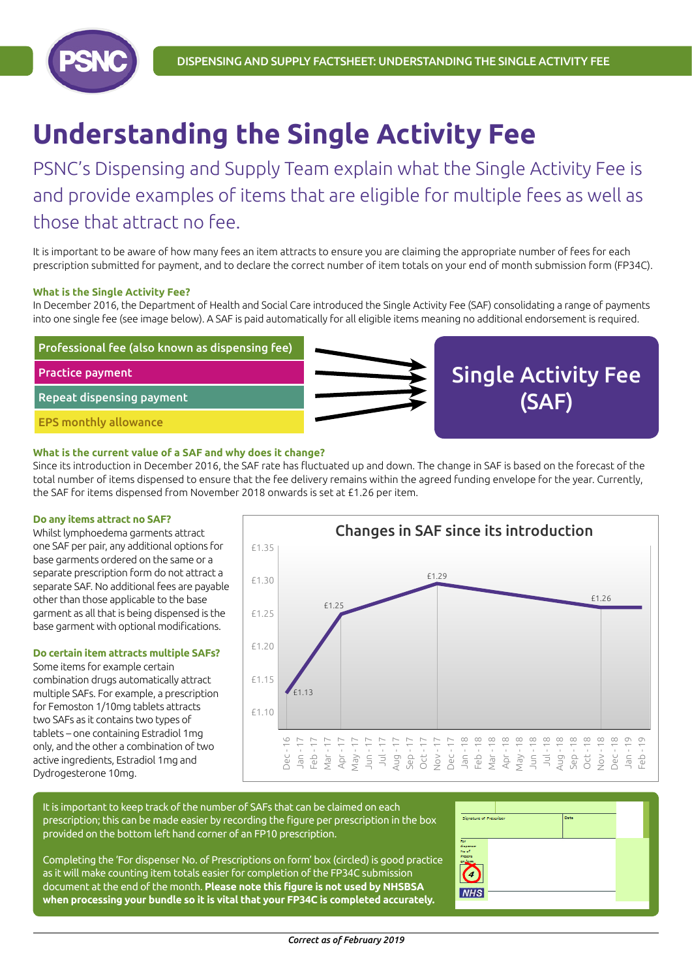

# **Understanding the Single Activity Fee**

PSNC's Dispensing and Supply Team explain what the Single Activity Fee is and provide examples of items that are eligible for multiple fees as well as those that attract no fee.

It is important to be aware of how many fees an item attracts to ensure you are claiming the appropriate number of fees for each prescription submitted for payment, and to declare the correct number of item totals on your end of month submission form (FP34C).

## **What is the Single Activity Fee?**

In December 2016, the Department of Health and Social Care introduced the Single Activity Fee (SAF) consolidating a range of payments into one single fee (see image below). A SAF is paid automatically for all eligible items meaning no additional endorsement is required.



#### **What is the current value of a SAF and why does it change?**

Since its introduction in December 2016, the SAF rate has fluctuated up and down. The change in SAF is based on the forecast of the total number of items dispensed to ensure that the fee delivery remains within the agreed funding envelope for the year. Currently, the SAF for items dispensed from November 2018 onwards is set at £1.26 per item.

#### **Do any items attract no SAF?**

Whilst lymphoedema garments attract one SAF per pair, any additional options for base garments ordered on the same or a separate prescription form do not attract a separate SAF. No additional fees are payable other than those applicable to the base garment as all that is being dispensed is the base garment with optional modifications.

## **Do certain item attracts multiple SAFs?**

Some items for example certain combination drugs automatically attract multiple SAFs. For example, a prescription for Femoston 1/10mg tablets attracts two SAFs as it contains two types of tablets – one containing Estradiol 1mg only, and the other a combination of two active ingredients, Estradiol 1mg and Dydrogesterone 10mg.



It is important to keep track of the number of SAFs that can be claimed on each prescription; this can be made easier by recording the figure per prescription in the box provided on the bottom left hand corner of an FP10 prescription.

Completing the 'For dispenser No. of Prescriptions on form' box (circled) is good practice as it will make counting item totals easier for completion of the FP34C submission document at the end of the month. **Please note this figure is not used by NHSBSA when processing your bundle so it is vital that your FP34C is completed accurately.**

| Signature of Prescriber | Date |  |
|-------------------------|------|--|
|                         |      |  |
|                         |      |  |
| <b>For</b><br>disponsor |      |  |
| No of<br>Protest        |      |  |
| on Joan                 |      |  |
|                         |      |  |
|                         |      |  |
| <b>NHS</b>              |      |  |
|                         |      |  |